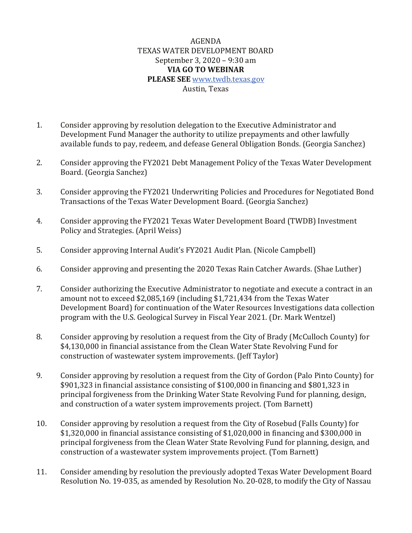## AGENDA TEXAS WATER DEVELOPMENT BOARD September 3, 2020 – 9:30 am **VIA GO TO WEBINAR PLEASE SEE** [www.twdb.texas.gov](http://www.twdb.texas.gov/) Austin, Texas

- 1. Consider approving by resolution delegation to the Executive Administrator and Development Fund Manager the authority to utilize prepayments and other lawfully available funds to pay, redeem, and defease General Obligation Bonds. (Georgia Sanchez)
- 2. Consider approving the FY2021 Debt Management Policy of the Texas Water Development Board. (Georgia Sanchez)
- 3. Consider approving the FY2021 Underwriting Policies and Procedures for Negotiated Bond Transactions of the Texas Water Development Board. (Georgia Sanchez)
- 4. Consider approving the FY2021 Texas Water Development Board (TWDB) Investment Policy and Strategies. (April Weiss)
- 5. Consider approving Internal Audit's FY2021 Audit Plan. (Nicole Campbell)
- 6. Consider approving and presenting the 2020 Texas Rain Catcher Awards. (Shae Luther)
- 7. Consider authorizing the Executive Administrator to negotiate and execute a contract in an amount not to exceed \$2,085,169 (including \$1,721,434 from the Texas Water Development Board) for continuation of the Water Resources Investigations data collection program with the U.S. Geological Survey in Fiscal Year 2021. (Dr. Mark Wentzel)
- 8. Consider approving by resolution a request from the City of Brady (McCulloch County) for \$4,130,000 in financial assistance from the Clean Water State Revolving Fund for construction of wastewater system improvements. (Jeff Taylor)
- 9. Consider approving by resolution a request from the City of Gordon (Palo Pinto County) for \$901,323 in financial assistance consisting of \$100,000 in financing and \$801,323 in principal forgiveness from the Drinking Water State Revolving Fund for planning, design, and construction of a water system improvements project. (Tom Barnett)
- 10. Consider approving by resolution a request from the City of Rosebud (Falls County) for \$1,320,000 in financial assistance consisting of \$1,020,000 in financing and \$300,000 in principal forgiveness from the Clean Water State Revolving Fund for planning, design, and construction of a wastewater system improvements project. (Tom Barnett)
- 11. Consider amending by resolution the previously adopted Texas Water Development Board Resolution No. 19-035, as amended by Resolution No. 20-028, to modify the City of Nassau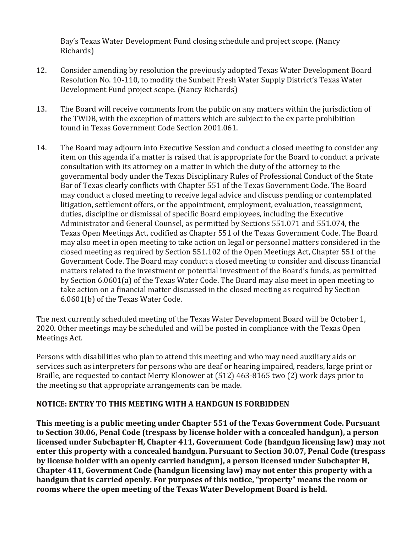Bay's Texas Water Development Fund closing schedule and project scope. (Nancy Richards)

- 12. Consider amending by resolution the previously adopted Texas Water Development Board Resolution No. 10-110, to modify the Sunbelt Fresh Water Supply District's Texas Water Development Fund project scope. (Nancy Richards)
- 13. The Board will receive comments from the public on any matters within the jurisdiction of the TWDB, with the exception of matters which are subject to the ex parte prohibition found in Texas Government Code Section 2001.061.
- 14. The Board may adjourn into Executive Session and conduct a closed meeting to consider any item on this agenda if a matter is raised that is appropriate for the Board to conduct a private consultation with its attorney on a matter in which the duty of the attorney to the governmental body under the Texas Disciplinary Rules of Professional Conduct of the State Bar of Texas clearly conflicts with Chapter 551 of the Texas Government Code. The Board may conduct a closed meeting to receive legal advice and discuss pending or contemplated litigation, settlement offers, or the appointment, employment, evaluation, reassignment, duties, discipline or dismissal of specific Board employees, including the Executive Administrator and General Counsel, as permitted by Sections 551.071 and 551.074, the Texas Open Meetings Act, codified as Chapter 551 of the Texas Government Code. The Board may also meet in open meeting to take action on legal or personnel matters considered in the closed meeting as required by Section 551.102 of the Open Meetings Act, Chapter 551 of the Government Code. The Board may conduct a closed meeting to consider and discuss financial matters related to the investment or potential investment of the Board's funds, as permitted by Section 6.0601(a) of the Texas Water Code. The Board may also meet in open meeting to take action on a financial matter discussed in the closed meeting as required by Section 6.0601(b) of the Texas Water Code.

The next currently scheduled meeting of the Texas Water Development Board will be October 1, 2020. Other meetings may be scheduled and will be posted in compliance with the Texas Open Meetings Act.

Persons with disabilities who plan to attend this meeting and who may need auxiliary aids or services such as interpreters for persons who are deaf or hearing impaired, readers, large print or Braille, are requested to contact Merry Klonower at (512) 463-8165 two (2) work days prior to the meeting so that appropriate arrangements can be made.

## **NOTICE: ENTRY TO THIS MEETING WITH A HANDGUN IS FORBIDDEN**

**This meeting is a public meeting under Chapter 551 of the Texas Government Code. Pursuant to Section 30.06, Penal Code (trespass by license holder with a concealed handgun), a person licensed under Subchapter H, Chapter 411, Government Code (handgun licensing law) may not enter this property with a concealed handgun. Pursuant to Section 30.07, Penal Code (trespass by license holder with an openly carried handgun), a person licensed under Subchapter H, Chapter 411, Government Code (handgun licensing law) may not enter this property with a handgun that is carried openly. For purposes of this notice, "property" means the room or rooms where the open meeting of the Texas Water Development Board is held.**